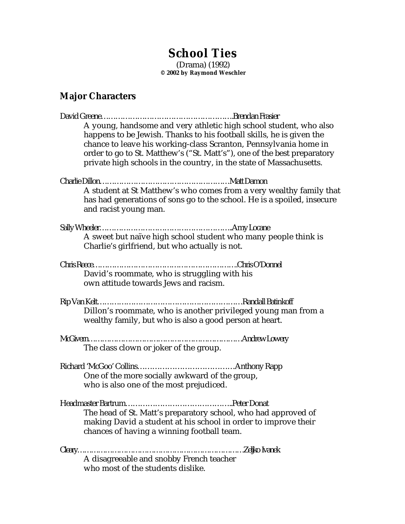# **School Ties**

(Drama) (1992) **© 2002 by Raymond Weschler**

# **Major Characters**

| A young, handsome and very athletic high school student, who also<br>happens to be Jewish. Thanks to his football skills, he is given the                                      |
|--------------------------------------------------------------------------------------------------------------------------------------------------------------------------------|
| chance to leave his working-class Scranton, Pennsylvania home in<br>order to go to St. Matthew's ("St. Matt's"), one of the best preparatory                                   |
| private high schools in the country, in the state of Massachusetts.                                                                                                            |
|                                                                                                                                                                                |
| A student at St Matthew's who comes from a very wealthy family that<br>has had generations of sons go to the school. He is a spoiled, insecure<br>and racist young man.        |
|                                                                                                                                                                                |
| A sweet but naïve high school student who many people think is<br>Charlie's girlfriend, but who actually is not.                                                               |
|                                                                                                                                                                                |
| David's roommate, who is struggling with his<br>own attitude towards Jews and racism.                                                                                          |
| Dillon's roommate, who is another privileged young man from a                                                                                                                  |
| wealthy family, but who is also a good person at heart.                                                                                                                        |
|                                                                                                                                                                                |
| The class clown or joker of the group.                                                                                                                                         |
|                                                                                                                                                                                |
| One of the more socially awkward of the group,<br>who is also one of the most prejudiced.                                                                                      |
|                                                                                                                                                                                |
| The head of St. Matt's preparatory school, who had approved of<br>making David a student at his school in order to improve their<br>chances of having a winning football team. |
|                                                                                                                                                                                |
|                                                                                                                                                                                |
| who most of the students dislike.                                                                                                                                              |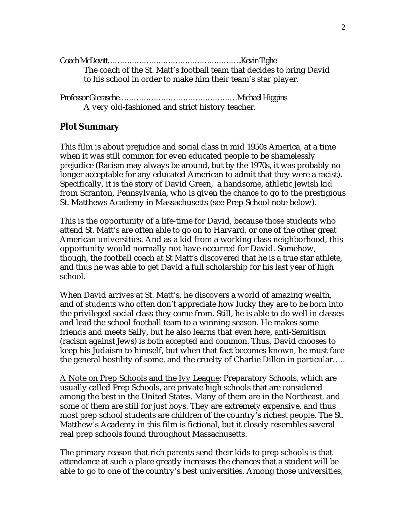| The coach of the St. Matt's football team that decides to bring David |
|-----------------------------------------------------------------------|
| to his school in order to make him their team's star player.          |

Professor Gierasche…………………………………………Michael Higgins A very old-fashioned and strict history teacher.

## **Plot Summary**

This film is about prejudice and social class in mid 1950s America, at a time when it was still common for even educated people to be shamelessly prejudice (Racism may always be around, but by the 1970s, it was probably no longer acceptable for any educated American to admit that they were a racist). Specifically, it is the story of David Green, a handsome, athletic Jewish kid from Scranton, Pennsylvania, who is given the chance to go to the prestigious St. Matthews Academy in Massachusetts (see Prep School note below).

This is the opportunity of a life-time for David, because those students who attend St. Matt's are often able to go on to Harvard, or one of the other great American universities. And as a kid from a working class neighborhood, this opportunity would normally not have occurred for David. Somehow, though, the football coach at St Matt's discovered that he is a true star athlete, and thus he was able to get David a full scholarship for his last year of high school.

When David arrives at St. Matt's, he discovers a world of amazing wealth, and of students who often don't appreciate how lucky they are to be born into the privileged social class they come from. Still, he is able to do well in classes and lead the school football team to a winning season. He makes some friends and meets Sally, but he also learns that even here, anti-Semitism (racism against Jews) is both accepted and common. Thus, David chooses to keep his Judaism to himself, but when that fact becomes known, he must face the general hostility of some, and the cruelty of Charlie Dillon in particular…..

A Note on Prep Schools and the Ivy League: Preparatory Schools, which are usually called Prep Schools, are private high schools that are considered among the best in the United States. Many of them are in the Northeast, and some of them are still for just boys. They are extremely expensive, and thus most prep school students are children of the country's richest people. The St. Matthew's Academy in this film is fictional, but it closely resembles several real prep schools found throughout Massachusetts.

The primary reason that rich parents send their kids to prep schools is that attendance at such a place greatly increases the chances that a student will be able to go to one of the country's best universities. Among those universities,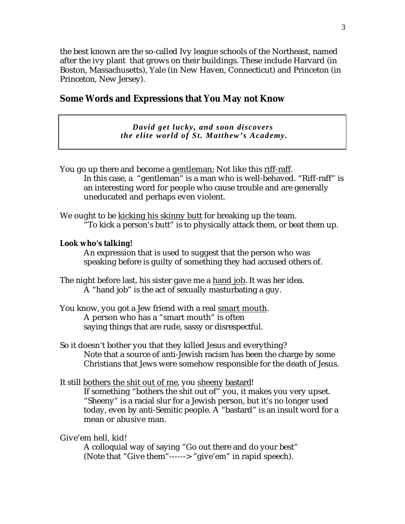the best known are the so-called Ivy league schools of the Northeast, named after the ivy plant that grows on their buildings. These include Harvard (in Boston, Massachusetts), Yale (in New Haven, Connecticut) and Princeton (in Princeton, New Jersey).

## **Some Words and Expressions that You May not Know**

*David get lucky, and soon discovers the elite world of St. Matthew's Academy.*

You go up there and become a gentleman; Not like this riff-raff. In this case, a "gentleman" is a man who is well-behaved. "Riff-raff" is an interesting word for people who cause trouble and are generally uneducated and perhaps even violent.

We ought to be kicking his skinny butt for breaking up the team. "To kick a person's butt" is to physically attack them, or beat them up.

## **Look who's talking!**

An expression that is used to suggest that the person who was speaking before is guilty of something they had accused others of.

The night before last, his sister gave me a hand job. It was her idea. A "hand job" is the act of sexually masturbating a guy.

- You know, you got a Jew friend with a real smart mouth. A person who has a "smart mouth" is often saying things that are rude, sassy or disrespectful.
- So it doesn't bother you that they killed Jesus and everything? Note that a source of anti-Jewish racism has been the charge by some Christians that Jews were somehow responsible for the death of Jesus.

## It still bothers the shit out of me, you sheeny bastard!

If something "bothers the shit out of" you, it makes you very upset. "Sheeny" is a racial slur for a Jewish person, but it's no longer used today, even by anti-Semitic people. A "bastard" is an insult word for a mean or abusive man.

Give'em hell, kid!

A colloquial way of saying "Go out there and do your best" (Note that "Give them"------> "give'em" in rapid speech).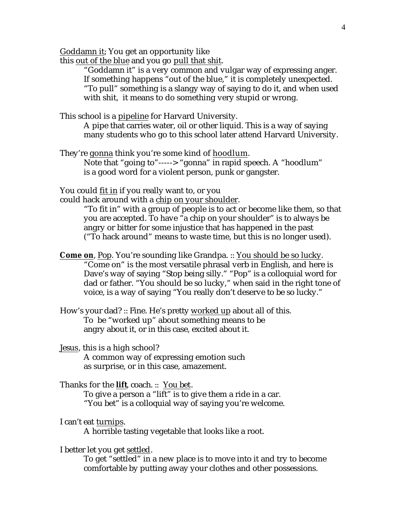Goddamn it: You get an opportunity like

this out of the blue and you go pull that shit.

"Goddamn it" is a very common and vulgar way of expressing anger. If something happens "out of the blue," it is completely unexpected. "To pull" something is a slangy way of saying to do it, and when used with shit, it means to do something very stupid or wrong.

This school is a pipeline for Harvard University.

A pipe that carries water, oil or other liquid. This is a way of saying many students who go to this school later attend Harvard University.

They're gonna think you're some kind of hoodlum.

Note that "going to"-----> "gonna" in rapid speech. A "hoodlum" is a good word for a violent person, punk or gangster.

You could fit in if you really want to, or you

could hack around with a chip on your shoulder.

"To fit in" with a group of people is to act or become like them, so that you are accepted. To have "a chip on your shoulder" is to always be angry or bitter for some injustice that has happened in the past ("To hack around" means to waste time, but this is no longer used).

**Come on, Pop. You're sounding like Grandpa. :: You should be so lucky.** "Come on" is the most versatile phrasal verb in English, and here is Dave's way of saying "Stop being silly." "Pop" is a colloquial word for dad or father. "You should be so lucky," when said in the right tone of voice, is a way of saying "You really don't deserve to be so lucky."

How's your dad? :: Fine. He's pretty worked up about all of this. To be "worked up" about something means to be angry about it, or in this case, excited about it.

Jesus, this is a high school? A common way of expressing emotion such as surprise, or in this case, amazement.

## Thanks for the **lift**, coach. :: You bet.

To give a person a "lift" is to give them a ride in a car. "You bet" is a colloquial way of saying you're welcome.

I can't eat turnips .

A horrible tasting vegetable that looks like a root.

I better let you get settled.

To get "settled" in a new place is to move into it and try to become comfortable by putting away your clothes and other possessions.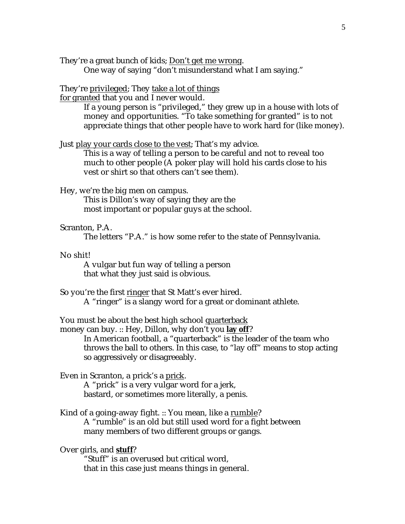They're a great bunch of kids; Don't get me wrong.

One way of saying "don't misunderstand what I am saying."

### They're privileged; They take a lot of things

for granted that you and I never would.

If a young person is "privileged," they grew up in a house with lots of money and opportunities. "To take something for granted" is to not appreciate things that other people have to work hard for (like money).

Just play your cards close to the vest; That's my advice.

This is a way of telling a person to be careful and not to reveal too much to other people (A poker play will hold his cards close to his vest or shirt so that others can't see them).

Hey, we're the big men on campus.

This is Dillon's way of saying they are the most important or popular guys at the school.

#### Scranton, P.A.

The letters "P.A." is how some refer to the state of Pennsylvania.

## No shit!

A vulgar but fun way of telling a person that what they just said is obvious.

So you're the first ringer that St Matt's ever hired.

A "ringer" is a slangy word for a great or dominant athlete.

You must be about the best high school quarterback

money can buy. :: Hey, Dillon, why don't you **lay off**?

In American football, a "quarterback" is the leader of the team who throws the ball to others. In this case, to "lay off" means to stop acting so aggressively or disagreeably.

Even in Scranton, a prick's a prick .

A "prick" is a very vulgar word for a jerk, bastard, or sometimes more literally, a penis.

Kind of a going-away fight. :: You mean, like a rumble? A "rumble" is an old but still used word for a fight between many members of two different groups or gangs.

Over girls, and **stuff**?

"Stuff" is an overused but critical word, that in this case just means things in general.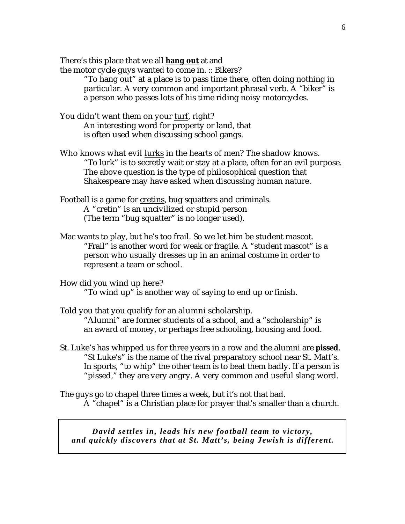There's this place that we all **hang out** at and

the motor cycle guys wanted to come in. :: Bikers?

"To hang out" at a place is to pass time there, often doing nothing in particular. A very common and important phrasal verb. A "biker" is a person who passes lots of his time riding noisy motorcycles.

You didn't want them on your turf, right? An interesting word for property or land, that is often used when discussing school gangs.

Who knows what evil lurks in the hearts of men? The shadow knows. "To lurk" is to secretly wait or stay at a place, often for an evil purpose. The above question is the type of philosophical question that Shakespeare may have asked when discussing human nature.

Football is a game for cretins, bug squatters and criminals. A "cretin" is an uncivilized or stupid person (The term "bug squatter" is no longer used).

Mac wants to play, but he's too frail. So we let him be student mascot. "Frail" is another word for weak or fragile. A "student mascot" is a person who usually dresses up in an animal costume in order to represent a team or school.

How did you wind up here? "To wind up" is another way of saying to end up or finish.

Told you that you qualify for an alumni scholarship. "Alumni" are former students of a school, and a "scholarship" is an award of money, or perhaps free schooling, housing and food.

St. Luke's has whipped us for three years in a row and the alumni are **pissed** . "St Luke's" is the name of the rival preparatory school near St. Matt's. In sports, "to whip" the other team is to beat them badly. If a person is "pissed," they are very angry. A very common and useful slang word.

The guys go to chapel three times a week, but it's not that bad. A "chapel" is a Christian place for prayer that's smaller than a church.

*David settles in, leads his new football team to victory, and quickly discovers that at St. Matt's, being Jewish is different.*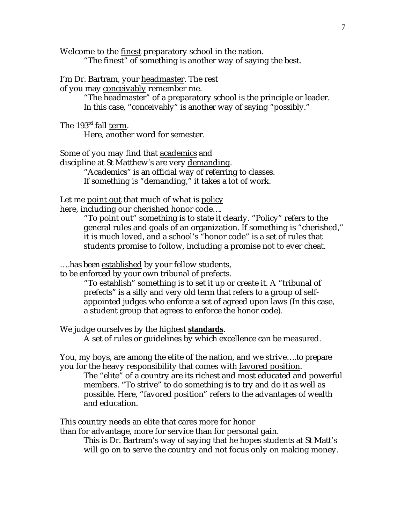Welcome to the finest preparatory school in the nation. "The finest" of something is another way of saying the best.

I'm Dr. Bartram, your headmaster. The rest

of you may conceivably remember me.

"The headmaster" of a preparatory school is the principle or leader. In this case, "conceivably" is another way of saying "possibly."

The 193<sup>rd</sup> fall term.

Here, another word for semester.

Some of you may find that academics and

discipline at St Matthew's are very demanding. "Academics" is an official way of referring to classes. If something is "demanding," it takes a lot of work.

Let me point out that much of what is policy

here, including our cherished honor code...

"To point out" something is to state it clearly. "Policy" refers to the general rules and goals of an organization. If something is "cherished," it is much loved, and a school's "honor code" is a set of rules that students promise to follow, including a promise not to ever cheat.

….has been established by your fellow students,

to be enforced by your own tribunal of prefects.

"To establish" something is to set it up or create it. A "tribunal of prefects" is a silly and very old term that refers to a group of selfappointed judges who enforce a set of agreed upon laws (In this case, a student group that agrees to enforce the honor code).

We judge ourselves by the highest **standards** .

A set of rules or guidelines by which excellence can be measured.

You, my boys, are among the elite of the nation, and we strive ….to prepare you for the heavy responsibility that comes with favored position.

The "elite" of a country are its richest and most educated and powerful members. "To strive" to do something is to try and do it as well as possible. Here, "favored position" refers to the advantages of wealth and education.

This country needs an elite that cares more for honor

than for advantage, more for service than for personal gain.

This is Dr. Bartram's way of saying that he hopes students at St Matt's will go on to serve the country and not focus only on making money.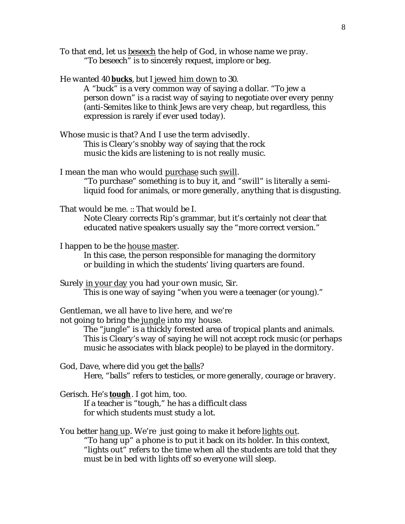To that end, let us beseech the help of God, in whose name we pray. "To beseech" is to sincerely request, implore or beg.

He wanted 40 **bucks** , but I jewed him down to 30.

A "buck" is a very common way of saying a dollar. "To jew a person down" is a racist way of saying to negotiate over every penny (anti-Semites like to think Jews are very cheap, but regardless, this expression is rarely if ever used today).

Whose music is that? And I use the term advisedly. This is Cleary's snobby way of saying that the rock music the kids are listening to is not really music.

I mean the man who would purchase such swill.

"To purchase" something is to buy it, and "swill" is literally a semiliquid food for animals, or more generally, anything that is disgusting.

That would be me. :: That would be I.

Note Cleary corrects Rip's grammar, but it's certainly not clear that educated native speakers usually say the "more correct version."

I happen to be the house master.

In this case, the person responsible for managing the dormitory or building in which the students' living quarters are found.

Surely in your day you had your own music, Sir. This is one way of saying "when you were a teenager (or young)."

Gentleman, we all have to live here, and we're

not going to bring the jungle into my house.

The "jungle" is a thickly forested area of tropical plants and animals. This is Cleary's way of saying he will not accept rock music (or perhaps music he associates with black people) to be played in the dormitory.

God, Dave, where did you get the balls?

Here, "balls" refers to testicles, or more generally, courage or bravery.

Gerisch. He's **tough** . I got him, too.

If a teacher is "tough," he has a difficult class for which students must study a lot.

You better hang up. We're just going to make it before lights out.

"To hang up" a phone is to put it back on its holder. In this context, "lights out" refers to the time when all the students are told that they must be in bed with lights off so everyone will sleep.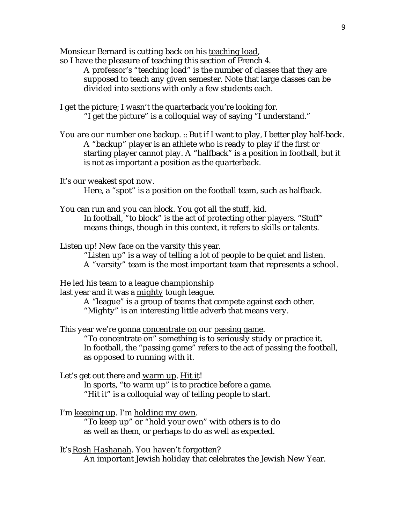Monsieur Bernard is cutting back on his teaching load,

so I have the pleasure of teaching this section of French 4.

A professor's "teaching load" is the number of classes that they are supposed to teach any given semester. Note that large classes can be divided into sections with only a few students each.

I get the picture; I wasn't the quarterback you're looking for. "I get the picture" is a colloquial way of saying "I understand."

You are our number one backup. :: But if I want to play, I better play half-back. A "backup" player is an athlete who is ready to play if the first or starting player cannot play. A "halfback" is a position in football, but it is not as important a position as the quarterback.

It's our weakest spot now.

Here, a "spot" is a position on the football team, such as halfback.

You can run and you can block. You got all the stuff, kid. In football, "to block" is the act of protecting other players. "Stuff" means things, though in this context, it refers to skills or talents.

Listen up! New face on the varsity this year.

"Listen up" is a way of telling a lot of people to be quiet and listen. A "varsity" team is the most important team that represents a school.

He led his team to a league championship

last year and it was a mighty tough league.

A "league" is a group of teams that compete against each other. "Mighty" is an interesting little adverb that means very.

This year we're gonna concentrate on our passing game.

"To concentrate on" something is to seriously study or practice it. In football, the "passing game" refers to the act of passing the football, as opposed to running with it.

Let's get out there and warm up. Hit it!

In sports, "to warm up" is to practice before a game. "Hit it" is a colloquial way of telling people to start.

I'm keeping up. I'm holding my own.

"To keep up" or "hold your own" with others is to do as well as them, or perhaps to do as well as expected.

It's Rosh Hashanah. You haven't forgotten?

An important Jewish holiday that celebrates the Jewish New Year.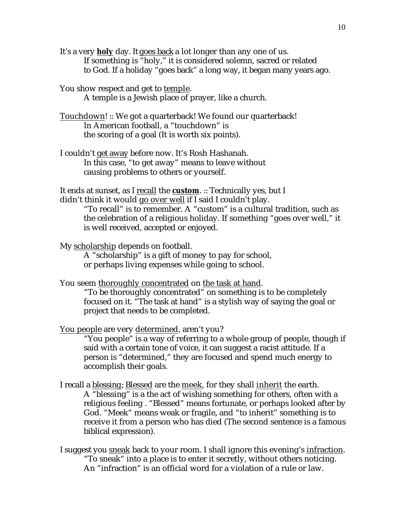- It's a very **holy** day. It goes back a lot longer than any one of us. If something is "holy," it is considered solemn, sacred or related to God. If a holiday "goes back" a long way, it began many years ago.
- You show respect and get to temple. A temple is a Jewish place of prayer, like a church.
- Touchdown! :: We got a quarterback! We found our quarterback! In American football, a "touchdown" is the scoring of a goal (It is worth six points).
- I couldn't get away before now. It's Rosh Hashanah. In this case, "to get away" means to leave without causing problems to others or yourself.
- It ends at sunset, as I recall the **custom** . :: Technically yes, but I didn't think it would go over well if I said I couldn't play.
	- "To recall" is to remember. A "custom" is a cultural tradition, such as the celebration of a religious holiday. If something "goes over well," it is well received, accepted or enjoyed.
- My scholarship depends on football.
	- A "scholarship" is a gift of money to pay for school, or perhaps living expenses while going to school.
- You seem thoroughly concentrated on the task at hand.
	- "To be thoroughly concentrated" on something is to be completely focused on it. "The task at hand" is a stylish way of saying the goal or project that needs to be completed.
- You people are very determined, aren't you?
	- "You people" is a way of referring to a whole group of people, though if said with a certain tone of voice, it can suggest a racist attitude. If a person is "determined," they are focused and spend much energy to accomplish their goals.
- I recall a blessing; Blessed are the meek, for they shall inherit the earth. A "blessing" is a the act of wishing something for others, often with a religious feeling . "Blessed" means fortunate, or perhaps looked after by God. "Meek" means weak or fragile, and "to inherit" something is to receive it from a person who has died (The second sentence is a famous biblical expression).
- I suggest you sneak back to your room. I shall ignore this evening's infraction . "To sneak" into a place is to enter it secretly, without others noticing. An "infraction" is an official word for a violation of a rule or law.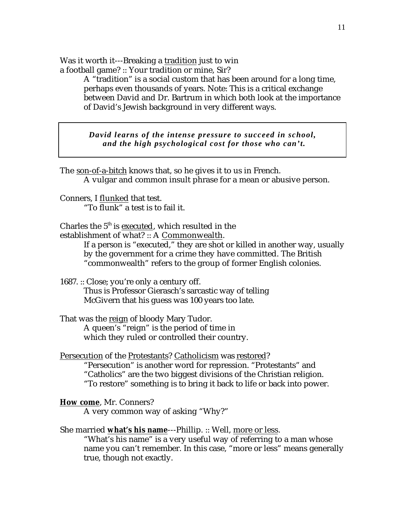Was it worth it---Breaking a tradition just to win a football game? :: Your tradition or mine, Sir?

> A "tradition" is a social custom that has been around for a long time, perhaps even thousands of years. Note: This is a critical exchange between David and Dr. Bartrum in which both look at the importance of David's Jewish background in very different ways.

*David learns of the intense pressure to succeed in school, and the high psychological cost for those who can't.*

The son-of-a-bitch knows that, so he gives it to us in French. A vulgar and common insult phrase for a mean or abusive person.

Conners, I flunked that test. "To flunk" a test is to fail it.

Charles the  $5<sup>th</sup>$  is executed, which resulted in the establishment of what? :: A Commonwealth.

If a person is "executed," they are shot or killed in another way, usually by the government for a crime they have committed. The British "commonwealth" refers to the group of former English colonies.

1687. :: Close; you're only a century off.

Thus is Professor Gierasch's sarcastic way of telling McGivern that his guess was 100 years too late.

That was the reign of bloody Mary Tudor. A queen's "reign" is the period of time in which they ruled or controlled their country.

Persecution of the Protestants? Catholicism was restored? "Persecution" is another word for repression. "Protestants" and "Catholics" are the two biggest divisions of the Christian religion. "To restore" something is to bring it back to life or back into power.

How come, Mr. Conners?

A very common way of asking "Why?"

She married **what's his name** ---Phillip. :: Well, more or less .

"What's his name" is a very useful way of referring to a man whose name you can't remember. In this case, "more or less" means generally true, though not exactly.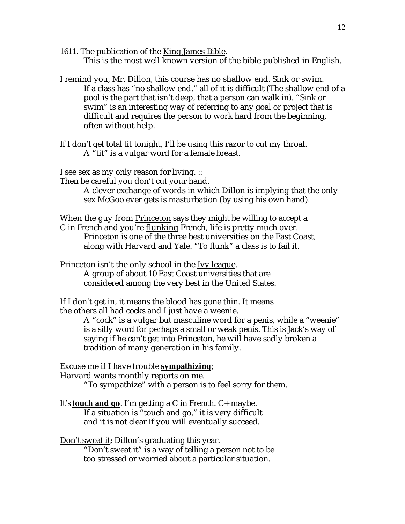- 1611. The publication of the King James Bible. This is the most well known version of the bible published in English.
- I remind you, Mr. Dillon, this course has no shallow end. Sink or swim. If a class has "no shallow end," all of it is difficult (The shallow end of a pool is the part that isn't deep, that a person can walk in). "Sink or swim" is an interesting way of referring to any goal or project that is difficult and requires the person to work hard from the beginning, often without help.
- If I don't get total tit tonight, I'll be using this razor to cut my throat. A "tit" is a vulgar word for a female breast.

I see sex as my only reason for living. ::

Then be careful you don't cut your hand.

A clever exchange of words in which Dillon is implying that the only sex McGoo ever gets is masturbation (by using his own hand).

When the guy from Princeton says they might be willing to accept a C in French and you're flunking French, life is pretty much over. Princeton is one of the three best universities on the East Coast, along with Harvard and Yale. "To flunk" a class is to fail it.

Princeton isn't the only school in the Ivy league. A group of about 10 East Coast universities that are considered among the very best in the United States.

If I don't get in, it means the blood has gone thin. It means the others all had cocks and I just have a weenie.

> A "cock" is a vulgar but masculine word for a penis, while a "weenie" is a silly word for perhaps a small or weak penis. This is Jack's way of saying if he can't get into Princeton, he will have sadly broken a tradition of many generation in his family.

Excuse me if I have trouble **sympathizing** ; Harvard wants monthly reports on me.

"To sympathize" with a person is to feel sorry for them.

It's **touch and go**. I'm getting a C in French. C+ maybe. If a situation is "touch and go," it is very difficult and it is not clear if you will eventually succeed.

Don't sweat it; Dillon's graduating this year.

"Don't sweat it" is a way of telling a person not to be too stressed or worried about a particular situation.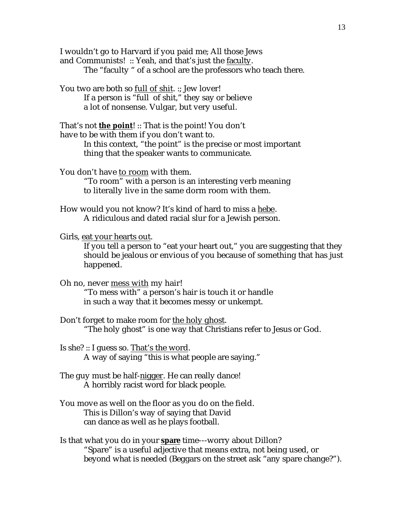I wouldn't go to Harvard if you paid me; All those Jews and Communists! :: Yeah, and that's just the faculty. The "faculty " of a school are the professors who teach there.

You two are both so full of shit. :: Jew lover! If a person is "full of shit," they say or believe a lot of nonsense. Vulgar, but very useful.

That's not **the point!** :: That is the point! You don't have to be with them if you don't want to. In this context, "the point" is the precise or most important thing that the speaker wants to communicate.

You don't have to room with them.

"To room" with a person is an interesting verb meaning to literally live in the same dorm room with them.

How would you not know? It's kind of hard to miss a hebe . A ridiculous and dated racial slur for a Jewish person.

Girls, eat your hearts out.

If you tell a person to "eat your heart out," you are suggesting that they should be jealous or envious of you because of something that has just happened.

- Oh no, never mess with my hair! "To mess with" a person's hair is touch it or handle in such a way that it becomes messy or unkempt.
- Don't forget to make room for the holy ghost. "The holy ghost" is one way that Christians refer to Jesus or God.
- Is she? :: I guess so. That's the word. A way of saying "this is what people are saying."
- The guy must be half-nigger. He can really dance! A horribly racist word for black people.
- You move as well on the floor as you do on the field. This is Dillon's way of saying that David can dance as well as he plays football.
- Is that what you do in your **spare** time---worry about Dillon? "Spare" is a useful adjective that means extra, not being used, or beyond what is needed (Beggars on the street ask "any spare change?").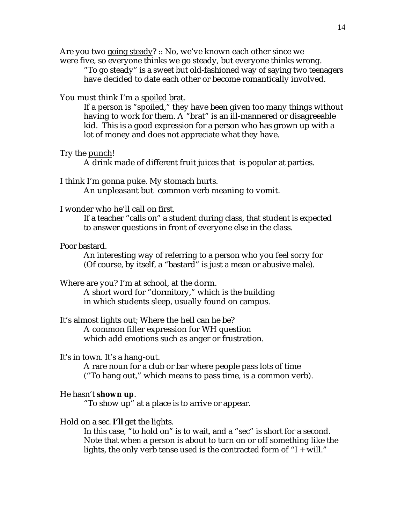Are you two going steady? :: No, we've known each other since we were five, so everyone thinks we go steady, but everyone thinks wrong.

"To go steady" is a sweet but old-fashioned way of saying two teenagers have decided to date each other or become romantically involved.

#### You must think I'm a spoiled brat.

If a person is "spoiled," they have been given too many things without having to work for them. A "brat" is an ill-mannered or disagreeable kid. This is a good expression for a person who has grown up with a lot of money and does not appreciate what they have.

#### Try the punch!

A drink made of different fruit juices that is popular at parties.

#### I think I'm gonna puke. My stomach hurts.

An unpleasant but common verb meaning to vomit.

## I wonder who he'll call on first.

If a teacher "calls on" a student during class, that student is expected to answer questions in front of everyone else in the class.

#### Poor bastard.

An interesting way of referring to a person who you feel sorry for (Of course, by itself, a "bastard" is just a mean or abusive male).

Where are you? I'm at school, at the dorm.

A short word for "dormitory," which is the building in which students sleep, usually found on campus.

## It's almost lights out; Where the hell can he be? A common filler expression for WH question

which add emotions such as anger or frustration.

#### It's in town. It's a hang-out.

A rare noun for a club or bar where people pass lots of time ("To hang out," which means to pass time, is a common verb).

## He hasn't **shown up**.

"To show up" at a place is to arrive or appear.

## Hold on a sec . **I'll** get the lights.

In this case, "to hold on" is to wait, and a "sec" is short for a second. Note that when a person is about to turn on or off something like the lights, the only verb tense used is the contracted form of "I + will."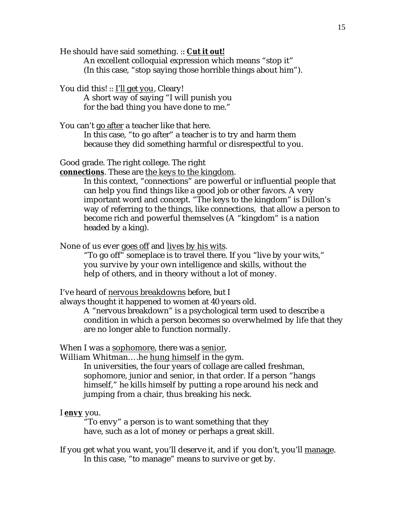He should have said something. :: **Cut it out!** 

An excellent colloquial expression which means "stop it" (In this case, "stop saying those horrible things about him").

You did this! :: I'll get you, Cleary! A short way of saying "I will punish you for the bad thing you have done to me."

You can't go after a teacher like that here. In this case, "to go after" a teacher is to try and harm them because they did something harmful or disrespectful to you.

Good grade. The right college. The right

**connections**. These are the keys to the kingdom.

In this context, "connections" are powerful or influential people that can help you find things like a good job or other favors. A very important word and concept. "The keys to the kingdom" is Dillon's way of referring to the things, like connections, that allow a person to become rich and powerful themselves (A "kingdom" is a nation headed by a king).

None of us ever goes off and lives by his wits.

"To go off" someplace is to travel there. If you "live by your wits," you survive by your own intelligence and skills, without the help of others, and in theory without a lot of money.

I've heard of nervous breakdowns before, but I

always thought it happened to women at 40 years old.

A "nervous breakdown" is a psychological term used to describe a condition in which a person becomes so overwhelmed by life that they are no longer able to function normally.

When I was a sophomore, there was a senior,

William Whitman….he hung himself in the gym.

In universities, the four years of collage are called freshman, sophomore, junior and senior, in that order. If a person "hangs himself," he kills himself by putting a rope around his neck and jumping from a chair, thus breaking his neck.

I **envy** you.

"To envy" a person is to want something that they have, such as a lot of money or perhaps a great skill.

If you get what you want, you'll deserve it, and if you don't, you'll manage. In this case, "to manage" means to survive or get by.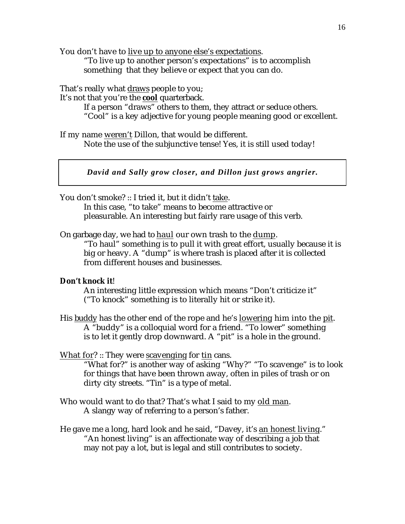You don't have to live up to anyone else's expectations.

"To live up to another person's expectations" is to accomplish something that they believe or expect that you can do.

That's really what draws people to you;

It's not that you're the **cool** quarterback.

If a person "draws" others to them, they attract or seduce others. "Cool" is a key adjective for young people meaning good or excellent.

If my name weren't Dillon, that would be different. Note the use of the subjunctive tense! Yes, it is still used today!

*David and Sally grow closer, and Dillon just grows angrier.*

You don't smoke? :: I tried it, but it didn't take.

In this case, "to take" means to become attractive or pleasurable. An interesting but fairly rare usage of this verb.

On garbage day, we had to haul our own trash to the dump.

"To haul" something is to pull it with great effort, usually because it is big or heavy. A "dump" is where trash is placed after it is collected from different houses and businesses.

## **Don't knock it**!

An interesting little expression which means "Don't criticize it" ("To knock" something is to literally hit or strike it).

His buddy has the other end of the rope and he's lowering him into the pit . A "buddy" is a colloquial word for a friend. "To lower" something is to let it gently drop downward. A "pit" is a hole in the ground.

## What for? :: They were scavenging for tin cans.

"What for?" is another way of asking "Why?" "To scavenge" is to look for things that have been thrown away, often in piles of trash or on dirty city streets. "Tin" is a type of metal.

Who would want to do that? That's what I said to my old man. A slangy way of referring to a person's father.

He gave me a long, hard look and he said, "Davey, it's an honest living." "An honest living" is an affectionate way of describing a job that may not pay a lot, but is legal and still contributes to society.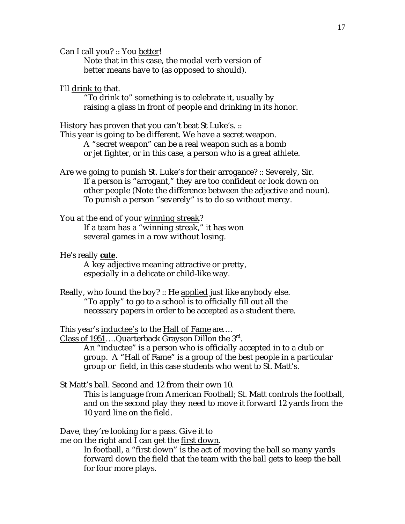Can I call you? :: You better!

Note that in this case, the modal verb version of better means have to (as opposed to should).

## I'll drink to that.

"To drink to" something is to celebrate it, usually by raising a glass in front of people and drinking in its honor.

History has proven that you can't beat St Luke's. ::

This year is going to be different. We have a secret weapon. A "secret weapon" can be a real weapon such as a bomb or jet fighter, or in this case, a person who is a great athlete.

Are we going to punish St. Luke's for their arrogance? :: Severely, Sir. If a person is "arrogant," they are too confident or look down on other people (Note the difference between the adjective and noun). To punish a person "severely" is to do so without mercy.

## You at the end of your winning streak? If a team has a "winning streak," it has won several games in a row without losing.

#### He's really **cute** .

A key adjective meaning attractive or pretty, especially in a delicate or child-like way.

Really, who found the boy? :: He applied just like anybody else. "To apply" to go to a school is to officially fill out all the necessary papers in order to be accepted as a student there.

This year's inductee's to the Hall of Fame are….

Class of 1951....Quarterback Grayson Dillon the 3rd.

An "inductee" is a person who is officially accepted in to a club or group. A "Hall of Fame" is a group of the best people in a particular group or field, in this case students who went to St. Matt's.

St Matt's ball. Second and 12 from their own 10.

This is language from American Football; St. Matt controls the football, and on the second play they need to move it forward 12 yards from the 10 yard line on the field.

Dave, they're looking for a pass. Give it to

me on the right and I can get the first down.

In football, a "first down" is the act of moving the ball so many yards forward down the field that the team with the ball gets to keep the ball for four more plays.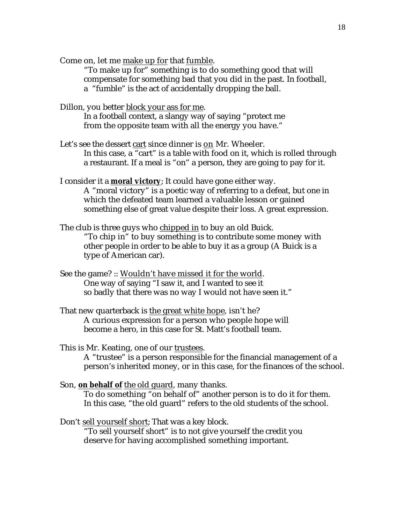Come on, let me make up for that fumble.

"To make up for" something is to do something good that will compensate for something bad that you did in the past. In football, a "fumble" is the act of accidentally dropping the ball.

Dillon, you better block your ass for me.

In a football context, a slangy way of saying "protect me from the opposite team with all the energy you have."

- Let's see the dessert cart since dinner is on Mr. Wheeler. In this case, a "cart" is a table with food on it, which is rolled through a restaurant. If a meal is "on" a person, they are going to pay for it.
- I consider it a **moral victory**; It could have gone either way. A "moral victory" is a poetic way of referring to a defeat, but one in which the defeated team learned a valuable lesson or gained something else of great value despite their loss. A great expression.

The club is three guys who chipped in to buy an old Buick. "To chip in" to buy something is to contribute some money with other people in order to be able to buy it as a group (A Buick is a type of American car).

- See the game? :: Wouldn't have missed it for the world. One way of saying "I saw it, and I wanted to see it so badly that there was no way I would not have seen it."
- That new quarterback is the great white hope, isn't he? A curious expression for a person who people hope will become a hero, in this case for St. Matt's football team.

This is Mr. Keating, one of our trustees. A "trustee" is a person responsible for the financial management of a person's inherited money, or in this case, for the finances of the school.

Son, on behalf of the old guard, many thanks. To do something "on behalf of" another person is to do it for them. In this case, "the old guard" refers to the old students of the school.

Don't sell yourself short; That was a key block. "To sell yourself short" is to not give yourself the credit you deserve for having accomplished something important.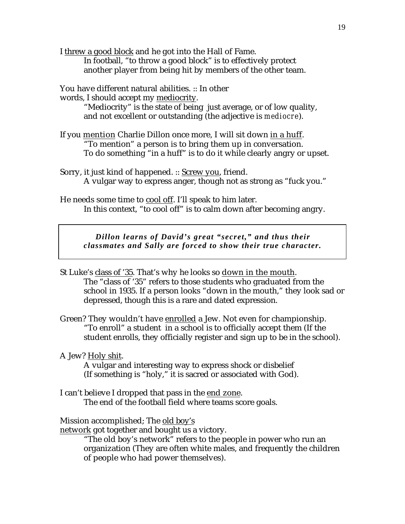I threw a good block and he got into the Hall of Fame.

In football, "to throw a good block" is to effectively protect another player from being hit by members of the other team.

You have different natural abilities. :: In other

words, I should accept my mediocrity.

"Mediocrity" is the state of being just average, or of low quality, and not excellent or outstanding (the adjective is *mediocre*).

If you mention Charlie Dillon once more, I will sit down in a huff. "To mention" a person is to bring them up in conversation. To do something "in a huff" is to do it while clearly angry or upset.

Sorry, it just kind of happened. :: Screw you, friend. A vulgar way to express anger, though not as strong as "fuck you."

He needs some time to cool off. I'll speak to him later. In this context, "to cool off" is to calm down after becoming angry.

*Dillon learns of David's great "secret," and thus their classmates and Sally are forced to show their true character.*

- St Luke's class of '35. That's why he looks so down in the mouth. The "class of '35" refers to those students who graduated from the school in 1935. If a person looks "down in the mouth," they look sad or depressed, though this is a rare and dated expression.
- Green? They wouldn't have enrolled a Jew. Not even for championship. "To enroll" a student in a school is to officially accept them (If the student enrolls, they officially register and sign up to be in the school).

## A Jew? Holy shit.

A vulgar and interesting way to express shock or disbelief (If something is "holy," it is sacred or associated with God).

I can't believe I dropped that pass in the end zone . The end of the football field where teams score goals.

## Mission accomplished; The old boy's

network got together and bought us a victory.

"The old boy's network" refers to the people in power who run an organization (They are often white males, and frequently the children of people who had power themselves).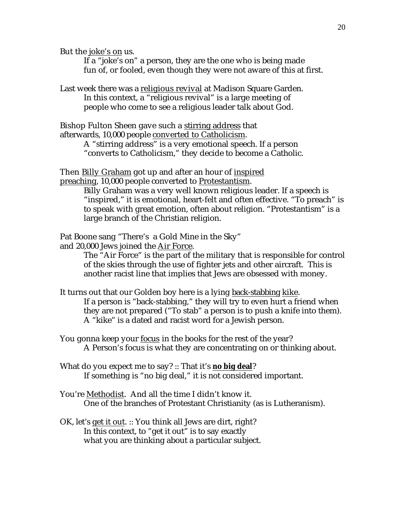But the joke's on us.

If a "joke's on" a person, they are the one who is being made fun of, or fooled, even though they were not aware of this at first.

Last week there was a religious revival at Madison Square Garden. In this context, a "religious revival" is a large meeting of people who come to see a religious leader talk about God.

Bishop Fulton Sheen gave such a stirring address that afterwards, 10,000 people converted to Catholicism.

> A "stirring address" is a very emotional speech. If a person "converts to Catholicism," they decide to become a Catholic.

Then Billy Graham got up and after an hour of inspired preaching, 10,000 people converted to Protestantism.

> Billy Graham was a very well known religious leader. If a speech is "inspired," it is emotional, heart-felt and often effective. "To preach" is to speak with great emotion, often about religion. "Protestantism" is a large branch of the Christian religion.

Pat Boone sang "There's a Gold Mine in the Sky"

and 20,000 Jews joined the Air Force .

The "Air Force" is the part of the military that is responsible for control of the skies through the use of fighter jets and other aircraft. This is another racist line that implies that Jews are obsessed with money.

It turns out that our Golden boy here is a lying back-stabbing kike. If a person is "back-stabbing," they will try to even hurt a friend when they are not prepared ("To stab" a person is to push a knife into them). A "kike" is a dated and racist word for a Jewish person.

You gonna keep your focus in the books for the rest of the year? A Person's focus is what they are concentrating on or thinking about.

What do you expect me to say? :: That it's **no big deal**? If something is "no big deal," it is not considered important.

You're Methodist. And all the time I didn't know it. One of the branches of Protestant Christianity (as is Lutheranism).

OK, let's get it out. :: You think all Jews are dirt, right? In this context, to "get it out" is to say exactly what you are thinking about a particular subject.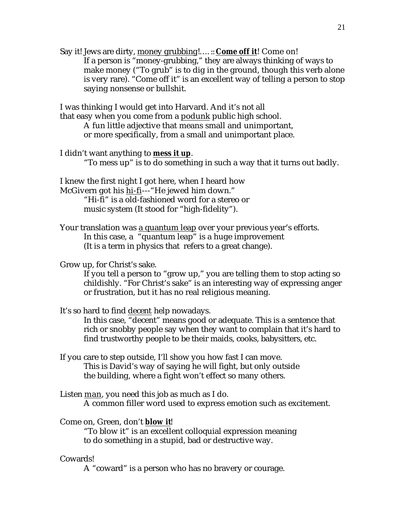Say it! Jews are dirty, money grubbing !.... :: Come off it! Come on! If a person is "money-grubbing," they are always thinking of ways to make money ("To grub" is to dig in the ground, though this verb alone is very rare). "Come off it" is an excellent way of telling a person to stop saying nonsense or bullshit.

I was thinking I would get into Harvard. And it's not all that easy when you come from a podunk public high school. A fun little adjective that means small and unimportant, or more specifically, from a small and unimportant place.

I didn't want anything to **mess it up** . "To mess up" is to do something in such a way that it turns out badly.

I knew the first night I got here, when I heard how McGivern got his hi-fi---"He jewed him down." "Hi-fi" is a old-fashioned word for a stereo or music system (It stood for "high-fidelity").

Your translation was a quantum leap over your previous year's efforts. In this case, a "quantum leap" is a huge improvement (It is a term in physics that refers to a great change).

## Grow up, for Christ's sake.

If you tell a person to "grow up," you are telling them to stop acting so childishly. "For Christ's sake" is an interesting way of expressing anger or frustration, but it has no real religious meaning.

It's so hard to find decent help nowadays.

In this case, "decent" means good or adequate. This is a sentence that rich or snobby people say when they want to complain that it's hard to find trustworthy people to be their maids, cooks, babysitters, etc.

- If you care to step outside, I'll show you how fast I can move. This is David's way of saying he will fight, but only outside the building, where a fight won't effect so many others.
- Listen man, you need this job as much as I do. A common filler word used to express emotion such as excitement.

Come on, Green, don't **blow it!** "To blow it" is an excellent colloquial expression meaning to do something in a stupid, bad or destructive way.

## Cowards!

A "coward" is a person who has no bravery or courage.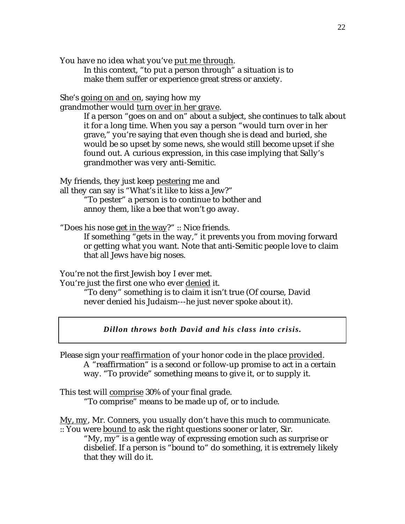You have no idea what you've put me through.

In this context, "to put a person through" a situation is to make them suffer or experience great stress or anxiety.

She's going on and on, saying how my

grandmother would turn over in her grave .

If a person "goes on and on" about a subject, she continues to talk about it for a long time. When you say a person "would turn over in her grave," you're saying that even though she is dead and buried, she would be so upset by some news, she would still become upset if she found out. A curious expression, in this case implying that Sally's grandmother was very anti-Semitic.

My friends, they just keep pestering me and

all they can say is "What's it like to kiss a Jew?"

"To pester" a person is to continue to bother and annoy them, like a bee that won't go away.

"Does his nose get in the way?" :: Nice friends.

If something "gets in the way," it prevents you from moving forward or getting what you want. Note that anti-Semitic people love to claim that all Jews have big noses.

You're not the first Jewish boy I ever met.

You're just the first one who ever denied it.

"To deny" something is to claim it isn't true (Of course, David never denied his Judaism---he just never spoke about it).

*Dillon throws both David and his class into crisis.*

Please sign your reaffirmation of your honor code in the place provided. A "reaffirmation" is a second or follow-up promise to act in a certain way. "To provide" something means to give it, or to supply it.

This test will comprise 30% of your final grade. "To comprise" means to be made up of, or to include.

My, my , Mr. Conners, you usually don't have this much to communicate.

:: You were bound to ask the right questions sooner or later, Sir. "My, my" is a gentle way of expressing emotion such as surprise or disbelief. If a person is "bound to" do something, it is extremely likely that they will do it.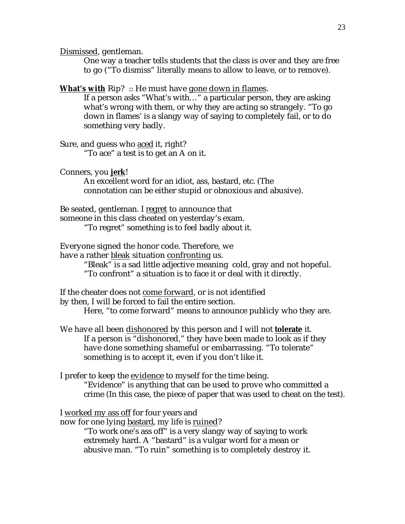Dismissed, gentleman.

One way a teacher tells students that the class is over and they are free to go ("To dismiss" literally means to allow to leave, or to remove).

**What's with Rip?** :: He must have gone down in flames.

If a person asks "What's with…" a particular person, they are asking what's wrong with them, or why they are acting so strangely. "To go down in flames' is a slangy way of saying to completely fail, or to do something very badly.

Sure, and guess who aced it, right?

"To ace" a test is to get an A on it.

Conners, you **jerk** !

An excellent word for an idiot, ass, bastard, etc. (The connotation can be either stupid or obnoxious and abusive).

Be seated, gentleman. I regret to announce that someone in this class cheated on yesterday's exam. "To regret" something is to feel badly about it.

Everyone signed the honor code. Therefore, we have a rather bleak situation confronting us.

"Bleak" is a sad little adjective meaning cold, gray and not hopeful.

"To confront" a situation is to face it or deal with it directly.

If the cheater does not come forward, or is not identified by then, I will be forced to fail the entire section.

Here, "to come forward" means to announce publicly who they are.

We have all been dishonored by this person and I will not **tolerate** it. If a person is "dishonored," they have been made to look as if they have done something shameful or embarrassing. "To tolerate" something is to accept it, even if you don't like it.

I prefer to keep the evidence to myself for the time being. "Evidence" is anything that can be used to prove who committed a crime (In this case, the piece of paper that was used to cheat on the test).

I worked my ass off for four years and

now for one lying bastard, my life is ruined?

"To work one's ass off" is a very slangy way of saying to work extremely hard. A "bastard" is a vulgar word for a mean or abusive man. "To ruin" something is to completely destroy it.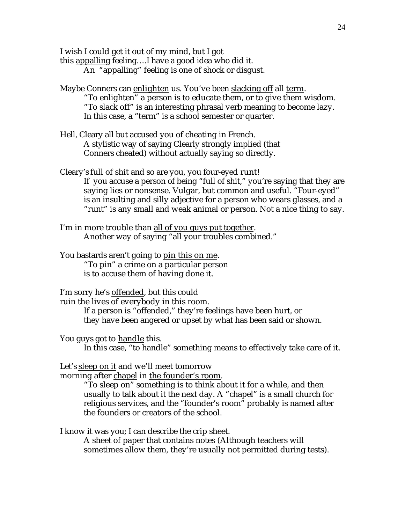I wish I could get it out of my mind, but I got

this appalling feeling….I have a good idea who did it.

An "appalling" feeling is one of shock or disgust.

- Maybe Conners can enlighten us. You've been slacking off all term. "To enlighten" a person is to educate them, or to give them wisdom. "To slack off" is an interesting phrasal verb meaning to become lazy. In this case, a "term" is a school semester or quarter.
- Hell, Cleary all but accused you of cheating in French. A stylistic way of saying Clearly strongly implied (that Conners cheated) without actually saying so directly.

Cleary's full of shit and so are you, you four-eyed runt! If you accuse a person of being "full of shit," you're saying that they are saying lies or nonsense. Vulgar, but common and useful. "Four-eyed" is an insulting and silly adjective for a person who wears glasses, and a "runt" is any small and weak animal or person. Not a nice thing to say.

- I'm in more trouble than all of you guys put together. Another way of saying "all your troubles combined."
- You bastards aren't going to pin this on me . "To pin" a crime on a particular person is to accuse them of having done it.

I'm sorry he's offended, but this could ruin the lives of everybody in this room.

If a person is "offended," they're feelings have been hurt, or they have been angered or upset by what has been said or shown.

You guys got to handle this.

In this case, "to handle" something means to effectively take care of it.

Let's sleep on it and we'll meet tomorrow

morning after chapel in the founder's room.

"To sleep on" something is to think about it for a while, and then usually to talk about it the next day. A "chapel" is a small church for religious services, and the "founder's room" probably is named after the founders or creators of the school.

I know it was you; I can describe the crip sheet.

A sheet of paper that contains notes (Although teachers will sometimes allow them, they're usually not permitted during tests).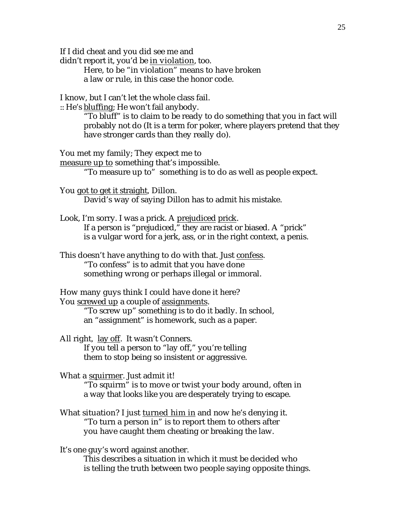If I did cheat and you did see me and

didn't report it, you'd be in violation, too.

Here, to be "in violation" means to have broken a law or rule, in this case the honor code.

I know, but I can't let the whole class fail.

: He's bluffing; He won't fail anybody.

"To bluff" is to claim to be ready to do something that you in fact will probably not do (It is a term for poker, where players pretend that they have stronger cards than they really do).

You met my family; They expect me to

measure up to something that's impossible. "To measure up to" something is to do as well as people expect.

You got to get it straight, Dillon. David's way of saying Dillon has to admit his mistake.

Look, I'm sorry. I was a prick. A prejudiced prick. If a person is "prejudiced," they are racist or biased. A "prick" is a vulgar word for a jerk, ass, or in the right context, a penis.

This doesn't have anything to do with that. Just confess. "To confess" is to admit that you have done something wrong or perhaps illegal or immoral.

How many guys think I could have done it here? You screwed up a couple of assignments.

> "To screw up" something is to do it badly. In school, an "assignment" is homework, such as a paper.

All right, lay off. It wasn't Conners. If you tell a person to "lay off," you're telling them to stop being so insistent or aggressive.

What a squirmer. Just admit it!

"To squirm" is to move or twist your body around, often in a way that looks like you are desperately trying to escape.

What situation? I just turned him in and now he's denying it. "To turn a person in" is to report them to others after you have caught them cheating or breaking the law.

It's one guy's word against another.

This describes a situation in which it must be decided who is telling the truth between two people saying opposite things.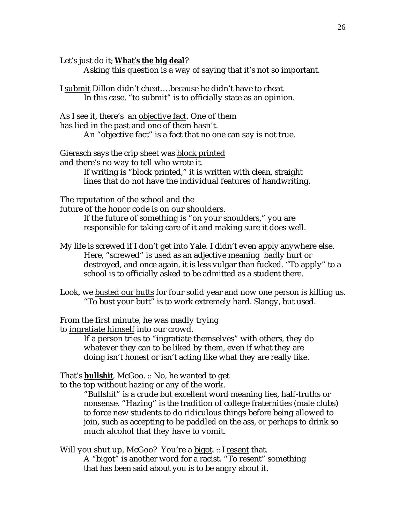Let's just do it; **What's the big deal**?

Asking this question is a way of saying that it's not so important.

I submit Dillon didn't cheat….because he didn't have to cheat. In this case, "to submit" is to officially state as an opinion.

As I see it, there's an objective fact. One of them has lied in the past and one of them hasn't.

An "objective fact" is a fact that no one can say is not true.

Gierasch says the crip sheet was block printed and there's no way to tell who wrote it.

If writing is "block printed," it is written with clean, straight lines that do not have the individual features of handwriting.

The reputation of the school and the

future of the honor code is on our shoulders.

If the future of something is "on your shoulders," you are responsible for taking care of it and making sure it does well.

- My life is screwed if I don't get into Yale. I didn't even apply anywhere else. Here, "screwed" is used as an adjective meaning badly hurt or destroyed, and once again, it is less vulgar than fucked. "To apply" to a school is to officially asked to be admitted as a student there.
- Look, we busted our butts for four solid year and now one person is killing us. "To bust your butt" is to work extremely hard. Slangy, but used.

From the first minute, he was madly trying

to ingratiate himself into our crowd.

If a person tries to "ingratiate themselves" with others, they do whatever they can to be liked by them, even if what they are doing isn't honest or isn't acting like what they are really like.

That's **bullshit**, McGoo. :: No, he wanted to get

to the top without hazing or any of the work.

"Bullshit" is a crude but excellent word meaning lies, half-truths or nonsense. "Hazing" is the tradition of college fraternities (male clubs) to force new students to do ridiculous things before being allowed to join, such as accepting to be paddled on the ass, or perhaps to drink so much alcohol that they have to vomit.

Will you shut up, McGoo? You're a bigot. :: I resent that. A "bigot" is another word for a racist. "To resent" something

that has been said about you is to be angry about it.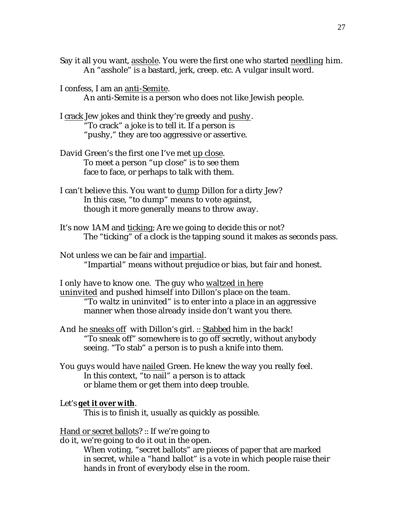- Say it all you want, asshole. You were the first one who started needling him. An "asshole" is a bastard, jerk, creep. etc. A vulgar insult word.
- I confess, I am an anti-Semite . An anti-Semite is a person who does not like Jewish people.
- I crack Jew jokes and think they're greedy and pushy . "To crack" a joke is to tell it. If a person is "pushy," they are too aggressive or assertive.
- David Green's the first one I've met up close. To meet a person "up close" is to see them face to face, or perhaps to talk with them.
- I can't believe this. You want to dump Dillon for a dirty Jew? In this case, "to dump" means to vote against, though it more generally means to throw away.
- It's now 1AM and ticking; Are we going to decide this or not? The "ticking" of a clock is the tapping sound it makes as seconds pass.

Not unless we can be fair and impartial. "Impartial" means without prejudice or bias, but fair and honest.

I only have to know one. The guy who waltzed in here

uninvited and pushed himself into Dillon's place on the team. "To waltz in uninvited" is to enter into a place in an aggressive manner when those already inside don't want you there.

- And he sneaks off with Dillon's girl. :: Stabbed him in the back! "To sneak off" somewhere is to go off secretly, without anybody seeing. "To stab" a person is to push a knife into them.
- You guys would have nailed Green. He knew the way you really feel. In this context, "to nail" a person is to attack or blame them or get them into deep trouble.

## Let's **get it over with**.

This is to finish it, usually as quickly as possible.

### Hand or secret ballots?  $::$  If we're going to

do it, we're going to do it out in the open.

When voting, "secret ballots" are pieces of paper that are marked in secret, while a "hand ballot" is a vote in which people raise their hands in front of everybody else in the room.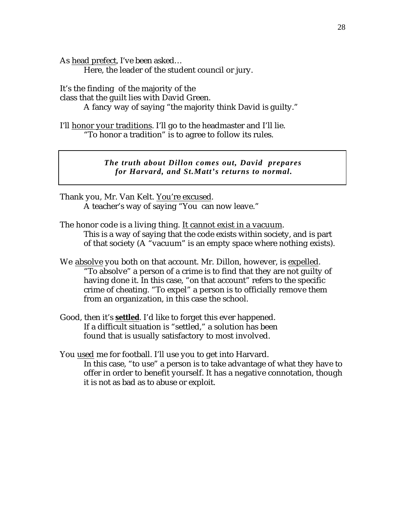As head prefect, I've been asked...

Here, the leader of the student council or jury.

It's the finding of the majority of the

class that the guilt lies with David Green.

A fancy way of saying "the majority think David is guilty."

I'll honor your traditions. I'll go to the headmaster and I'll lie. "To honor a tradition" is to agree to follow its rules.

> *The truth about Dillon comes out, David prepares for Harvard, and St.Matt's returns to normal.*

Thank you, Mr. Van Kelt. You're excused. A teacher's way of saying "You can now leave."

The honor code is a living thing. It cannot exist in a vacuum. This is a way of saying that the code exists within society, and is part of that society (A "vacuum" is an empty space where nothing exists).

- We absolve you both on that account. Mr. Dillon, however, is expelled. "To absolve" a person of a crime is to find that they are not guilty of having done it. In this case, "on that account" refers to the specific crime of cheating. "To expel" a person is to officially remove them from an organization, in this case the school.
- Good, then it's **settled**. I'd like to forget this ever happened. If a difficult situation is "settled," a solution has been found that is usually satisfactory to most involved.

You used me for football. I'll use you to get into Harvard. In this case, "to use" a person is to take advantage of what they have to offer in order to benefit yourself. It has a negative connotation, though it is not as bad as to abuse or exploit.